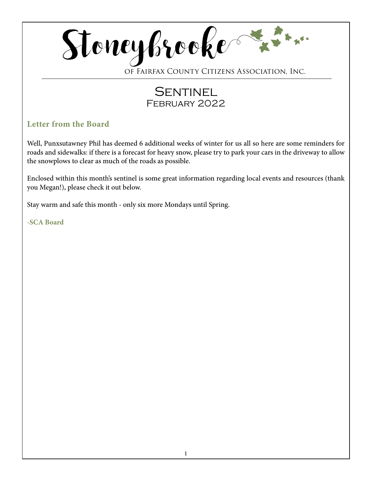

of Fairfax County Citizens Association, Inc.

# **SENTINEL** February 2022

## **Letter from the Board**

Well, Punxsutawney Phil has deemed 6 additional weeks of winter for us all so here are some reminders for roads and sidewalks: if there is a forecast for heavy snow, please try to park your cars in the driveway to allow the snowplows to clear as much of the roads as possible.

Enclosed within this month's sentinel is some great information regarding local events and resources (thank you Megan!), please check it out below.

Stay warm and safe this month - only six more Mondays until Spring.

**-SCA Board**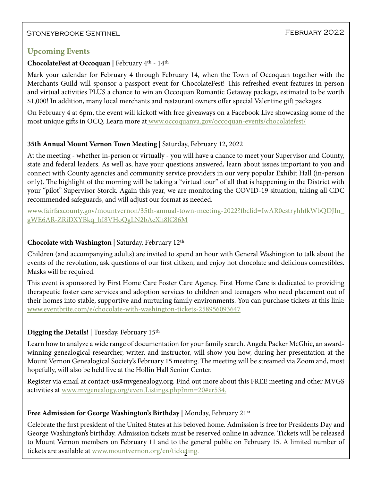### STONEYBROOKE SENTINEL SENTINEL SENTINEL SENTING A SENTINGLY PEBRUARY 2022

#### **Upcoming Events**

#### **ChocolateFest at Occoquan |** February 4th - 14th

Mark your calendar for February 4 through February 14, when the Town of Occoquan together with the Merchants Guild will sponsor a passport event for ChocolateFest! This refreshed event features in-person and virtual activities PLUS a chance to win an Occoquan Romantic Getaway package, estimated to be worth \$1,000! In addition, many local merchants and restaurant owners offer special Valentine gift packages.

On February 4 at 6pm, the event will kickoff with free giveaways on a Facebook Live showcasing some of the most unique gifts in OCQ. Learn more at [www.occoquanva.gov/occoquan-events/chocolatefest/](http://www.occoquanva.gov/occoquan-events/chocolatefest/)

#### **35th Annual Mount Vernon Town Meeting** | Saturday, February 12, 2022

At the meeting - whether in-person or virtually - you will have a chance to meet your Supervisor and County, state and federal leaders. As well as, have your questions answered, learn about issues important to you and connect with County agencies and community service providers in our very popular Exhibit Hall (in-person only). The highlight of the morning will be taking a "virtual tour" of all that is happening in the District with your "pilot" Supervisor Storck. Again this year, we are monitoring the COVID-19 situation, taking all CDC recommended safeguards, and will adjust our format as needed.

www.fairfaxcounty.gov/mountvernon/35th-annual-town-meeting-2022?fbclid=IwAR0estryhhfkWbQDJIn\_ gWE6AR-ZRiDXYBkq\_hI8VHoQgLN2bAeXh8lC86M

#### **Chocolate with Washington |** Saturday, February 12th

Children (and accompanying adults) are invited to spend an hour with General Washington to talk about the events of the revolution, ask questions of our first citizen, and enjoy hot chocolate and delicious comestibles. Masks will be required.

This event is sponsored by First Home Care Foster Care Agency. First Home Care is dedicated to providing therapeutic foster care services and adoption services to children and teenagers who need placement out of their homes into stable, supportive and nurturing family environments. You can purchase tickets at this link: [www.eventbrite.com/e/chocolate-with-washington-tickets-258956093647](http://www.eventbrite.com/e/chocolate-with-washington-tickets-258956093647)

#### **Digging the Details! |** Tuesday, February 15th

Learn how to analyze a wide range of documentation for your family search. Angela Packer McGhie, an awardwinning genealogical researcher, writer, and instructor, will show you how, during her presentation at the Mount Vernon Genealogical Society's February 15 meeting. The meeting will be streamed via Zoom and, most hopefully, will also be held live at the Hollin Hall Senior Center.

Register via email at contact-us@mvgenealogy.org. Find out more about this FREE meeting and other MVGS activities at [www.mvgenealogy.org/eventListings.php?nm=20#er534.](http://www.mvgenealogy.org/eventListings.php?nm=20#er534.)

#### **Free Admission for George Washington's Birthday |** Monday, February 21st

tickets are available at <u>[www.mountvernon.org/en/ticketing.](http://www.mountvernon.org/en/ticketing.)</u> Celebrate the first president of the United States at his beloved home. Admission is free for Presidents Day and George Washington's birthday. Admission tickets must be reserved online in advance. Tickets will be released to Mount Vernon members on February 11 and to the general public on February 15. A limited number of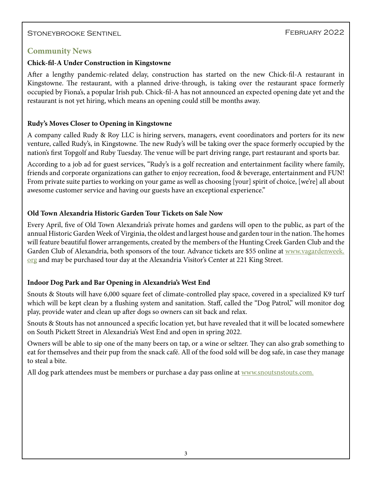#### Stoneybrooke Sentinel

#### **Community News**

#### **Chick-fil-A Under Construction in Kingstowne**

After a lengthy pandemic-related delay, construction has started on the new Chick-fil-A restaurant in Kingstowne. The restaurant, with a planned drive-through, is taking over the restaurant space formerly occupied by Fiona's, a popular Irish pub. Chick-fil-A has not announced an expected opening date yet and the restaurant is not yet hiring, which means an opening could still be months away.

#### **Rudy's Moves Closer to Opening in Kingstowne**

A company called Rudy & Roy LLC is hiring servers, managers, event coordinators and porters for its new venture, called Rudy's, in Kingstowne. The new Rudy's will be taking over the space formerly occupied by the nation's first Topgolf and Ruby Tuesday. The venue will be part driving range, part restaurant and sports bar.

According to a job ad for guest services, "Rudy's is a golf recreation and entertainment facility where family, friends and corporate organizations can gather to enjoy recreation, food & beverage, entertainment and FUN! From private suite parties to working on your game as well as choosing [your] spirit of choice, [we're] all about awesome customer service and having our guests have an exceptional experience."

#### **Old Town Alexandria Historic Garden Tour Tickets on Sale Now**

Every April, five of Old Town Alexandria's private homes and gardens will open to the public, as part of the annual Historic Garden Week of Virginia, the oldest and largest house and garden tour in the nation. The homes will feature beautiful flower arrangements, created by the members of the Hunting Creek Garden Club and the Garden Club of Alexandria, both sponsors of the tour. Advance tickets are \$55 online at [www.vagardenweek.](http://www.vagardenweek.org) [org](http://www.vagardenweek.org) and may be purchased tour day at the Alexandria Visitor's Center at 221 King Street.

#### **Indoor Dog Park and Bar Opening in Alexandria's West End**

Snouts & Stouts will have 6,000 square feet of climate-controlled play space, covered in a specialized K9 turf which will be kept clean by a flushing system and sanitation. Staff, called the "Dog Patrol," will monitor dog play, provide water and clean up after dogs so owners can sit back and relax.

Snouts & Stouts has not announced a specific location yet, but have revealed that it will be located somewhere on South Pickett Street in Alexandria's West End and open in spring 2022.

Owners will be able to sip one of the many beers on tap, or a wine or seltzer. They can also grab something to eat for themselves and their pup from the snack café. All of the food sold will be dog safe, in case they manage to steal a bite.

All dog park attendees must be members or purchase a day pass online at [www.snoutsnstouts.com.](http://www.snoutsnstouts.com.)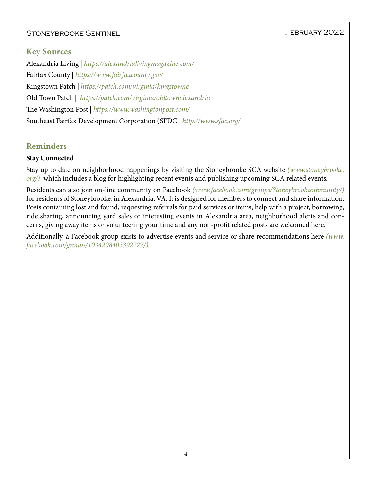#### STONEYBROOKE SENTINEL SENTINEL SENSIFIED FEBRUARY 2022

### **Key Sources**

Alexandria Living | *<https://alexandrialivingmagazine.com/>* Fairfax County | *<https://www.fairfaxcounty.gov/>* Kingstown Patch |*<https://patch.com/virginia/kingstowne>* Old Town Patch | *<https://patch.com/virginia/oldtownalexandria>* The Washington Post | *<https://www.washingtonpost.com/>* Southeast Fairfax Development Corporation (SFDC *| http://www.sfdc.org/*

## **Reminders**

#### **Stay Connected**

Stay up to date on neighborhood happenings by visiting the Stoneybrooke SCA website *[\(www.stoneybrooke.](http://www.stoneybrooke.org/) [org/\)](http://www.stoneybrooke.org/)*, which includes a blog for highlighting recent events and publishing upcoming SCA related events.

Residents can also join on-line community on Facebook *([www.facebook.com/groups/Stoneybrookcommunity/](http://www.facebook.com/groups/Stoneybrookcommunity/))*  for residents of Stoneybrooke, in Alexandria, VA. It is designed for members to connect and share information. Posts containing lost and found, requesting referrals for paid services or items, help with a project, borrowing, ride sharing, announcing yard sales or interesting events in Alexandria area, neighborhood alerts and concerns, giving away items or volunteering your time and any non-profit related posts are welcomed here.

Additionally, a Facebook group exists to advertise events and service or share recommendations here *([www.](http://www.facebook.com/groups/1034208403392227/) [facebook.com/groups/1034208403392227/](http://www.facebook.com/groups/1034208403392227/)).*